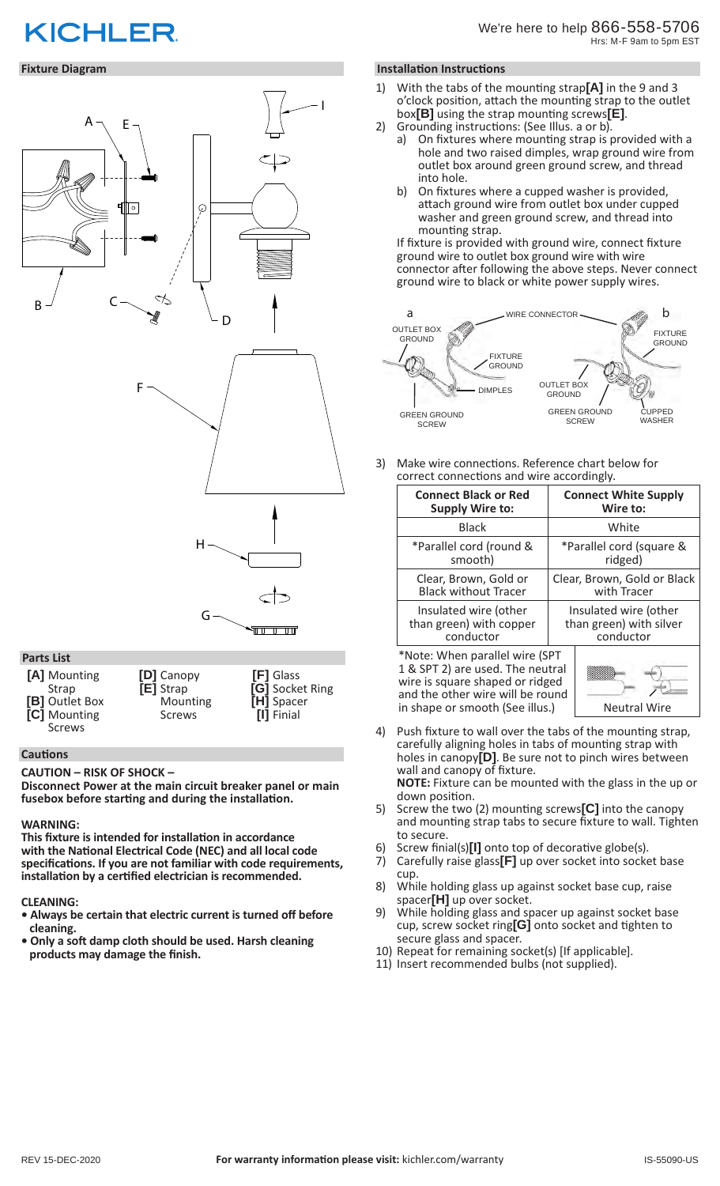# **KICHLER**

## **Fixture Diagram**



#### **Cautions**

**CAUTION – RISK OF SHOCK –** 

**[C]** Mounting Screws

**Disconnect Power at the main circuit breaker panel or main fusebox before starting and during the installation.** 

Screws

**[I]** Finial

## **WARNING:**

**This fixture is intended for installation in accordance with the National Electrical Code (NEC) and all local code specifications. If you are not familiar with code requirements, installation by a certified electrician is recommended.**

## **CLEANING:**

- **Always be certain that electric current is turned off before cleaning.**
- **Only a soft damp cloth should be used. Harsh cleaning products may damage the finish.**

## **Installation Instructions**

- 1) With the tabs of the mounting strap**[A]** in the 9 and 3 o'clock position, attach the mounting strap to the outlet box $[B]$  using the strap mounting screws [E].
- 2) Grounding instructions: (See Illus. a or b).
	- a) On fixtures where mounting strap is provided with a hole and two raised dimples, wrap ground wire from outlet box around green ground screw, and thread into hole.
	- b) On fixtures where a cupped washer is provided, attach ground wire from outlet box under cupped washer and green ground screw, and thread into mounting strap.

If fixture is provided with ground wire, connect fixture ground wire to outlet box ground wire with wire connector after following the above steps. Never connect ground wire to black or white power supply wires.



3) Make wire connections. Reference chart below for correct connections and wire accordingly.

| <b>Connect Black or Red</b>                                                                                                                                                  | <b>Connect White Supply</b> |  |
|------------------------------------------------------------------------------------------------------------------------------------------------------------------------------|-----------------------------|--|
| <b>Supply Wire to:</b>                                                                                                                                                       | Wire to:                    |  |
| <b>Black</b>                                                                                                                                                                 | White                       |  |
| *Parallel cord (round &                                                                                                                                                      | *Parallel cord (square &    |  |
| smooth)                                                                                                                                                                      | ridged)                     |  |
| Clear, Brown, Gold or                                                                                                                                                        | Clear, Brown, Gold or Black |  |
| <b>Black without Tracer</b>                                                                                                                                                  | with Tracer                 |  |
| Insulated wire (other                                                                                                                                                        | Insulated wire (other       |  |
| than green) with copper                                                                                                                                                      | than green) with silver     |  |
| conductor                                                                                                                                                                    | conductor                   |  |
| *Note: When parallel wire (SPT<br>1 & SPT 2) are used. The neutral<br>wire is square shaped or ridged<br>and the other wire will be round<br>in shape or smooth (See illus.) | <b>Neutral Wire</b>         |  |

4) Push fixture to wall over the tabs of the mounting strap, carefully aligning holes in tabs of mounting strap with holes in canopy**[D]**. Be sure not to pinch wires between wall and canopy of fixture. **NOTE:** Fixture can be mounted with the glass in the up or

down position.

- 5) Screw the two (2) mounting screws**[C]** into the canopy and mounting strap tabs to secure fixture to wall. Tighten to secure.
- 6) Screw finial(s)**[I]** onto top of decorative globe(s).
- 7) Carefully raise glass**[F]** up over socket into socket base cup.
- 8) While holding glass up against socket base cup, raise spacer**[H]** up over socket.
- 9) While holding glass and spacer up against socket base cup, screw socket ring**[G]** onto socket and tighten to secure glass and spacer.
- 10) Repeat for remaining socket(s) [If applicable].
- 11) Insert recommended bulbs (not supplied).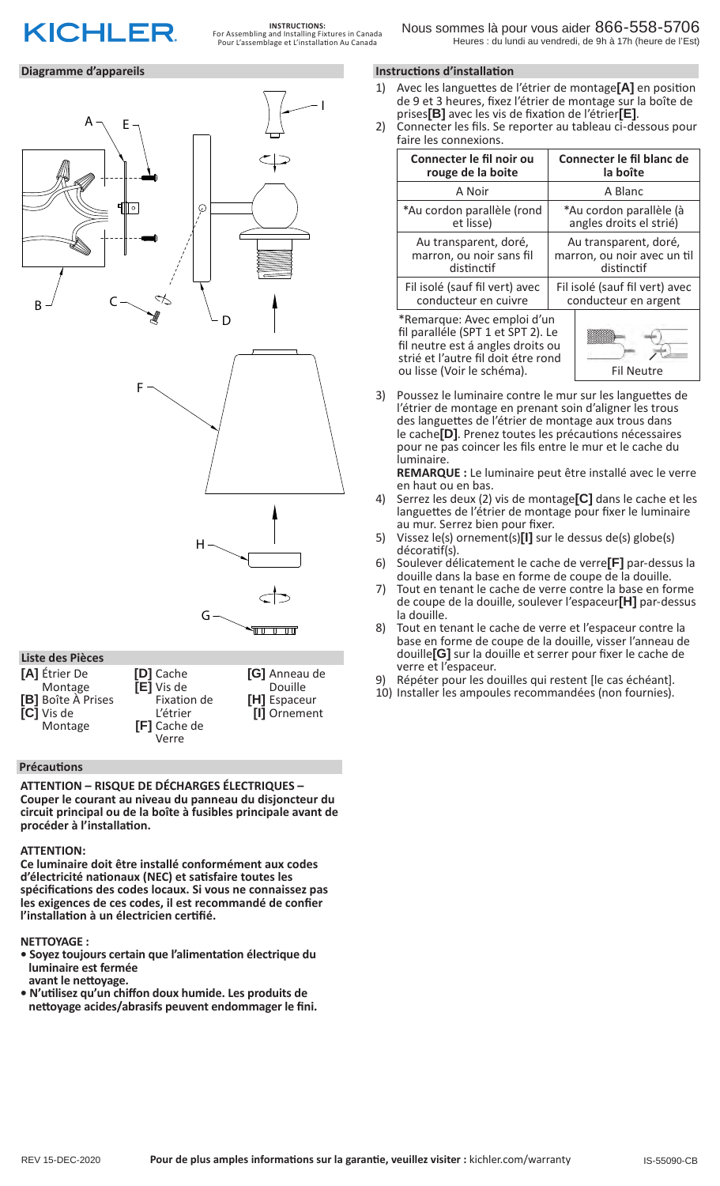## KICHLER

**INSTRUCTIONS:** For Assembling and Installing Fixtures in Canada Pour L'assemblage et L'installation Au Canada

## **Diagramme d'appareils**



| $\mathbf{F}$ currence | $\mathsf{P}$ cache  | $ U $ Anneau uc |
|-----------------------|---------------------|-----------------|
| Montage               | <b>[E]</b> Vis de   | Douille         |
| [B] Boîte A Prises    | Fixation de         | [H] Espaceur    |
| <b>[C]</b> Vis de     | L'étrier            | [I] Ornement    |
| Montage               | <b>[F]</b> Cache de |                 |
|                       | Verre               |                 |
|                       |                     |                 |

## **Précautions**

**ATTENTION – RISQUE DE DÉCHARGES ÉLECTRIQUES – Couper le courant au niveau du panneau du disjoncteur du circuit principal ou de la boîte à fusibles principale avant de procéder à l'installation.**

## **ATTENTION:**

**Ce luminaire doit être installé conformément aux codes d'électricité nationaux (NEC) et satisfaire toutes les spécifications des codes locaux. Si vous ne connaissez pas les exigences de ces codes, il est recommandé de confier l'installation à un électricien certifié.**

## **NETTOYAGE :**

- **Soyez toujours certain que l'alimentation électrique du luminaire est fermée avant le nettoyage.**
- **N'utilisez qu'un chiffon doux humide. Les produits de nettoyage acides/abrasifs peuvent endommager le fini.**

## **Instructions d'installation**

- 1) Avec les languettes de l'étrier de montage**[A]** en position de 9 et 3 heures, fixez l'étrier de montage sur la boîte de prises**[B]** avec les vis de fixation de l'étrier**[E]**.
- 2) Connecter les fils. Se reporter au tableau ci-dessous pour faire les connexions.

| Connecter le fil noir ou                                                                                                                      | Connecter le fil blanc de      |  |
|-----------------------------------------------------------------------------------------------------------------------------------------------|--------------------------------|--|
| rouge de la boite                                                                                                                             | la boîte                       |  |
| A Noir                                                                                                                                        | A Blanc                        |  |
| *Au cordon parallèle (rond                                                                                                                    | *Au cordon parallèle (à        |  |
| et lisse)                                                                                                                                     | angles droits el strié)        |  |
| Au transparent, doré,                                                                                                                         | Au transparent, doré,          |  |
| marron, ou noir sans fil                                                                                                                      | marron, ou noir avec un til    |  |
| distinctif                                                                                                                                    | distinctif                     |  |
| Fil isolé (sauf fil vert) avec                                                                                                                | Fil isolé (sauf fil vert) avec |  |
| conducteur en cuivre                                                                                                                          | conducteur en argent           |  |
| *Remarque: Avec emploi d'un<br>fil paralléle (SPT 1 et SPT 2). Le<br>fil neutre est á angles droits ou<br>strié et l'autre fil doit étre rond |                                |  |

3) Poussez le luminaire contre le mur sur les languettes de l'étrier de montage en prenant soin d'aligner les trous des languettes de l'étrier de montage aux trous dans le cache**[D]**. Prenez toutes les précautions nécessaires pour ne pas coincer les fils entre le mur et le cache du luminaire.

ou lisse (Voir le schéma). Fil Neutre

**REMARQUE :** Le luminaire peut être installé avec le verre en haut ou en bas.

- 4) Serrez les deux (2) vis de montage**[C]** dans le cache et les languettes de l'étrier de montage pour fixer le luminaire au mur. Serrez bien pour fixer.
- 5) Vissez le(s) ornement(s)**[I]** sur le dessus de(s) globe(s) décoratif(s).
- 6) Soulever délicatement le cache de verre**[F]** par-dessus la douille dans la base en forme de coupe de la douille.
- 7) Tout en tenant le cache de verre contre la base en forme de coupe de la douille, soulever l'espaceur**[H]** par-dessus la douille.
- 8) Tout en tenant le cache de verre et l'espaceur contre la base en forme de coupe de la douille, visser l'anneau de douille**[G]** sur la douille et serrer pour fixer le cache de verre et l'espaceur.
- 9) Répéter pour les douilles qui restent [le cas échéant].
- 10) Installer les ampoules recommandées (non fournies).